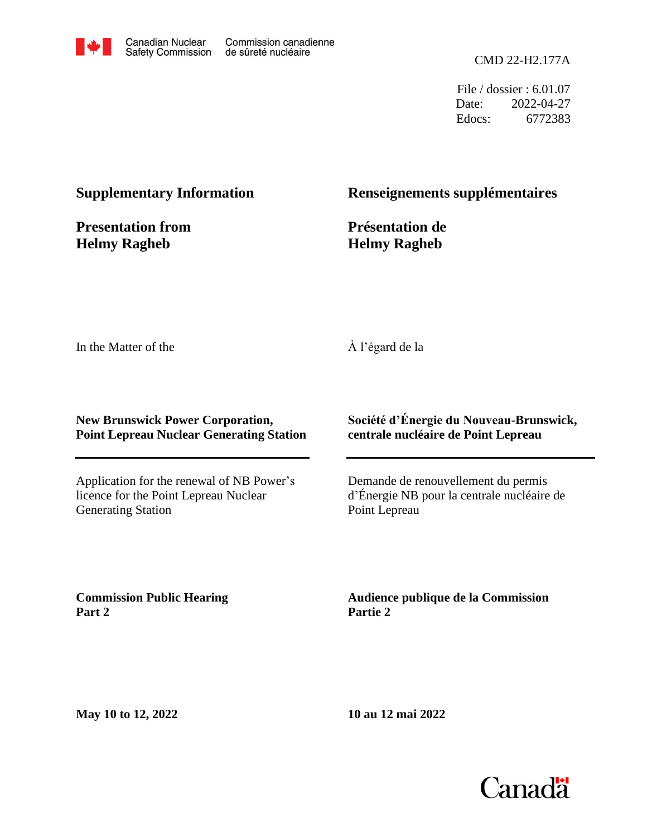

File / dossier : 6.01.07 Date: 2022-04-27 Edocs: 6772383

## **Supplementary Information**

**Presentation from Helmy Ragheb**

### **Renseignements supplémentaires**

**Présentation de Helmy Ragheb**

In the Matter of the

#### À l'égard de la

#### **New Brunswick Power Corporation, Point Lepreau Nuclear Generating Station**

Application for the renewal of NB Power's licence for the Point Lepreau Nuclear Generating Station

### **Société d'Énergie du Nouveau-Brunswick, centrale nucléaire de Point Lepreau**

Demande de renouvellement du permis d'Énergie NB pour la centrale nucléaire de Point Lepreau

**Commission Public Hearing Part 2**

**Audience publique de la Commission Partie 2**

**May 10 to 12, 2022**

**10 au 12 mai 2022**

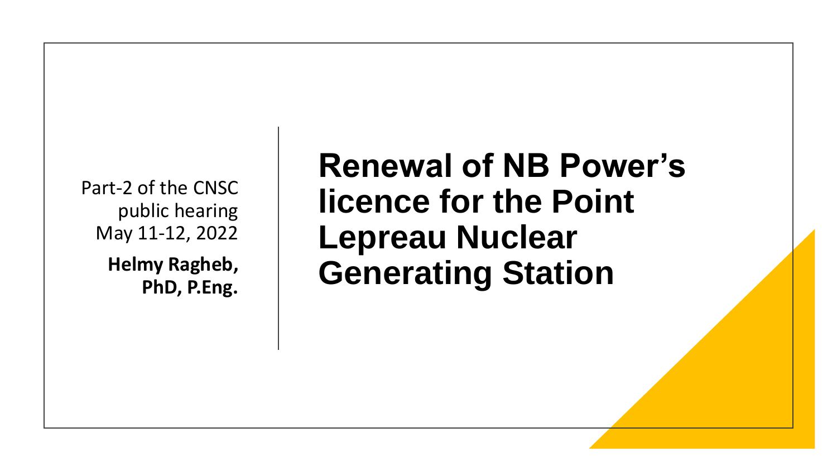Part-2 of the CNSC public hearing May 11-12, 2022

> **Helmy Ragheb, PhD, P.Eng.**

**Renewal of NB Power's licence for the Point Lepreau Nuclear Generating Station**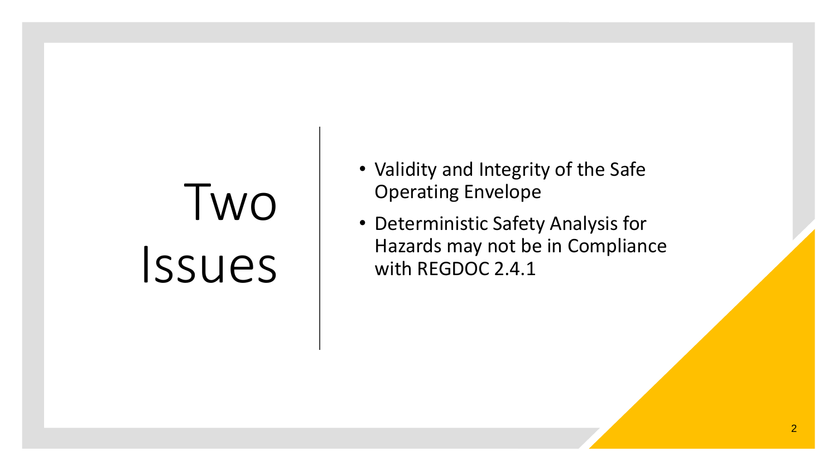# Two Issues

- Validity and Integrity of the Safe Operating Envelope
- Deterministic Safety Analysis for Hazards may not be in Compliance with REGDOC 2.4.1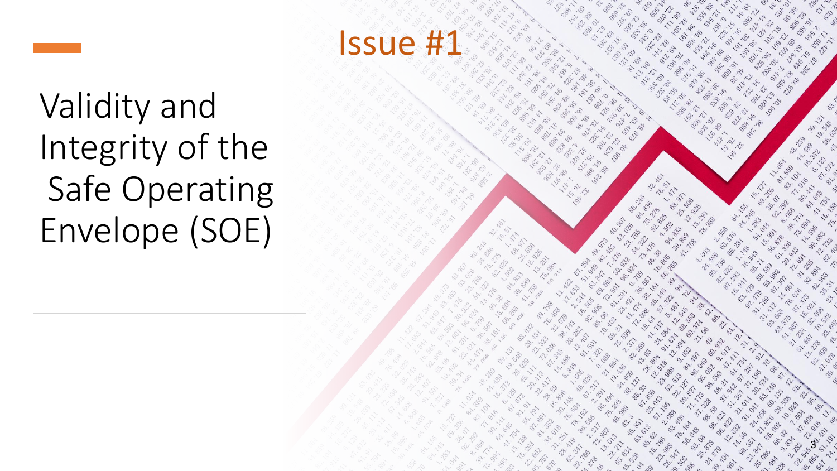



Validity and Integrity of the Safe Operating Envelope (SOE)



 $\mathcal{C}$ 

 $\mathcal{S}$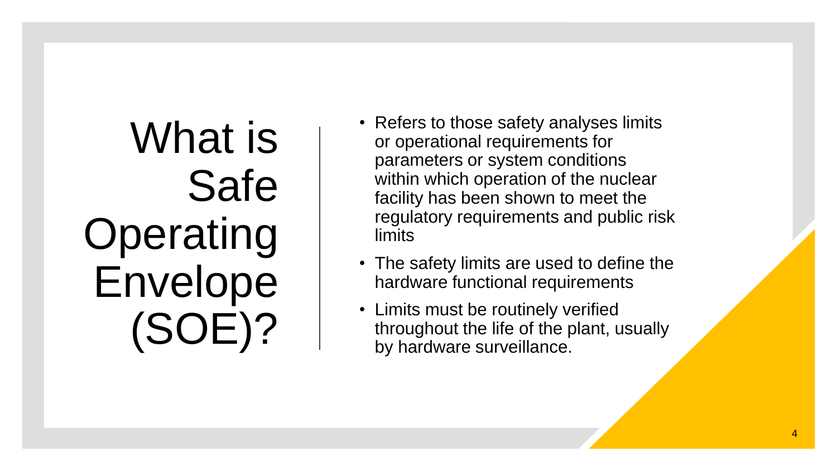What is Safe Operating Envelope (SOE)?

- Refers to those safety analyses limits or operational requirements for parameters or system conditions within which operation of the nuclear facility has been shown to meet the regulatory requirements and public risk limits
- The safety limits are used to define the hardware functional requirements
- Limits must be routinely verified throughout the life of the plant , usually by hardware surveillance.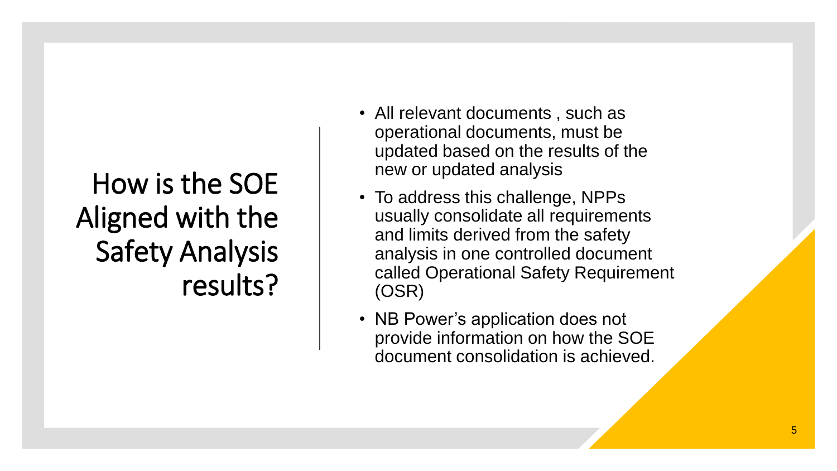## How is the SOE Aligned with the Safety Analysis results?

- All relevant documents , such as operational documents, must be updated based on the results of the new or updated analysis
- To address this challenge, NPPs usually consolidate all requirements and limits derived from the safety analysis in one controlled document called Operational Safety Requirement (OSR)
- NB Power's application does not provide information on how the SOE document consolidation is achieved.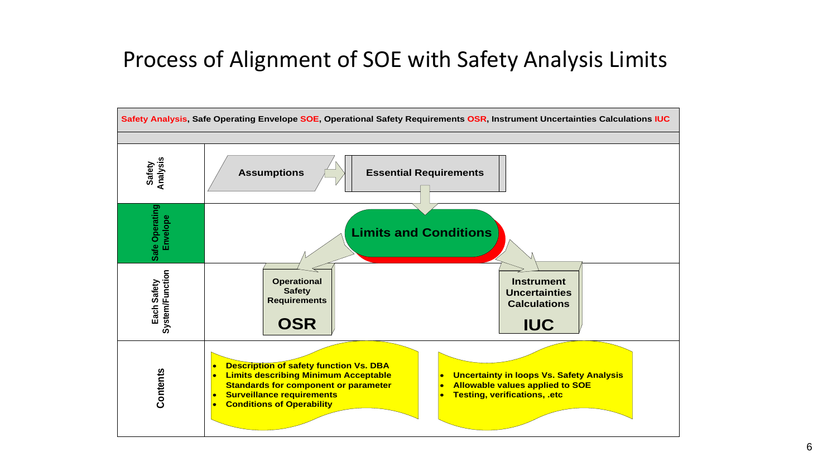## Process of Alignment of SOE with Safety Analysis Limits

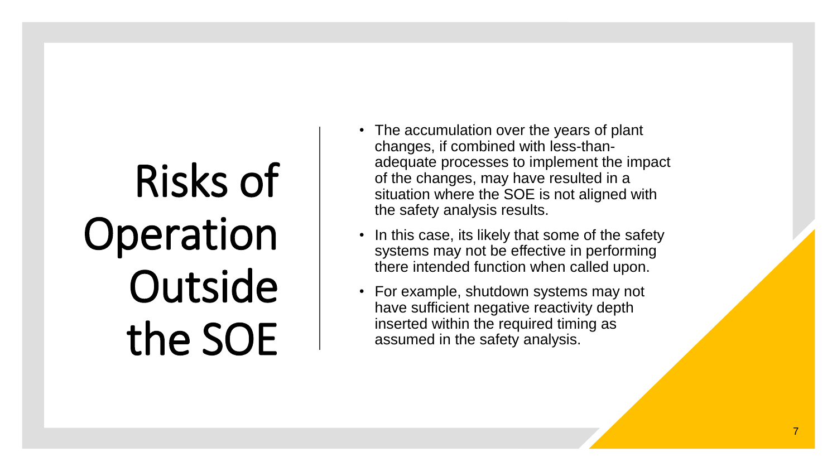# Risks of Operation **Outside** the SOE

- The accumulation over the years of plant changes, if combined with less -than adequate processes to implement the impact of the changes, may have resulted in a situation where the SOE is not aligned with the safety analysis results.
- In this case, its likely that some of the safety systems may not be effective in performing there intended function when called upon.
- For example, shutdown systems may not have sufficient negative reactivity depth inserted within the required timing as assumed in the safety analysis.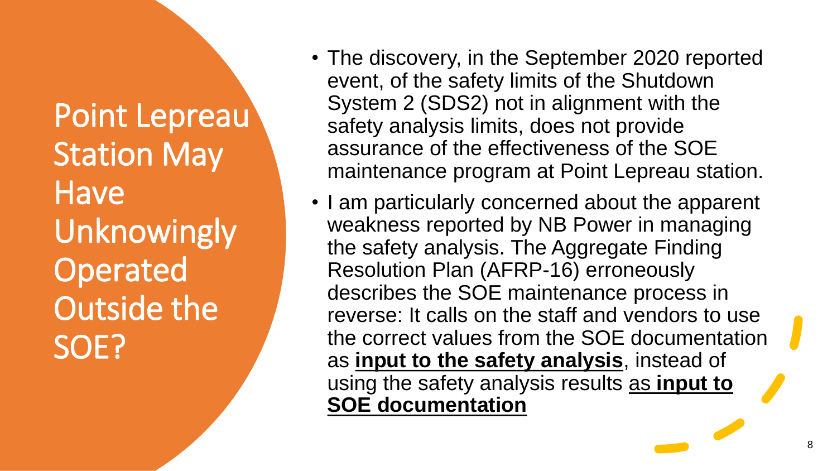Point Lepreau Station May Have Unknowingly Operated Outside the SOE?

- The discovery, in the September 2020 reported event, of the safety limits of the Shutdown System 2 (SDS2) not in alignment with the safety analysis limits, does not provide assurance of the effectiveness of the SOE maintenance program at Point Lepreau station.
- I am particularly concerned about the apparent weakness reported by NB Power in managing the safety analysis. The Aggregate Finding Resolution Plan (AFRP-16) erroneously describes the SOE maintenance process in reverse: It calls on the staff and vendors to use the correct values from the SOE documentation as **input to the safety analysis**, instead of using the safety analysis results as **input to SOE documentation**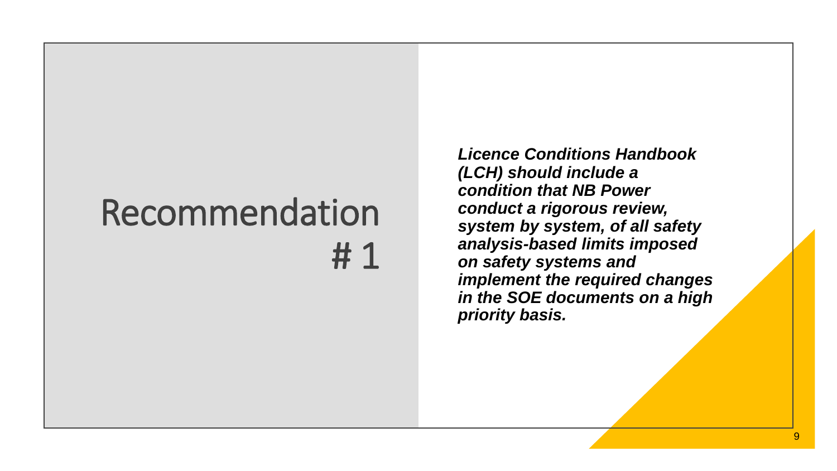# Recommendation # 1

*Licence Conditions Handbook (LCH) should include a condition that NB Power conduct a rigorous review, system by system, of all safety analysis-based limits imposed on safety systems and implement the required changes in the SOE documents on a high priority basis.*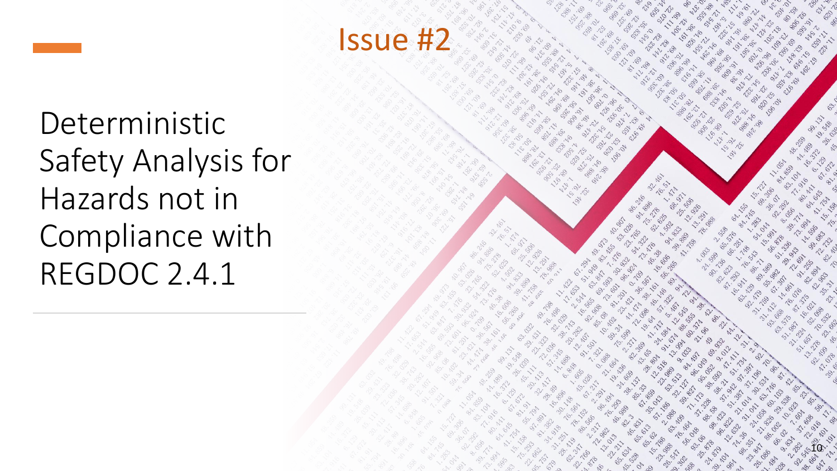

Deterministic Safety Analysis for Hazards not in Compliance with REGDOC 2.4.1

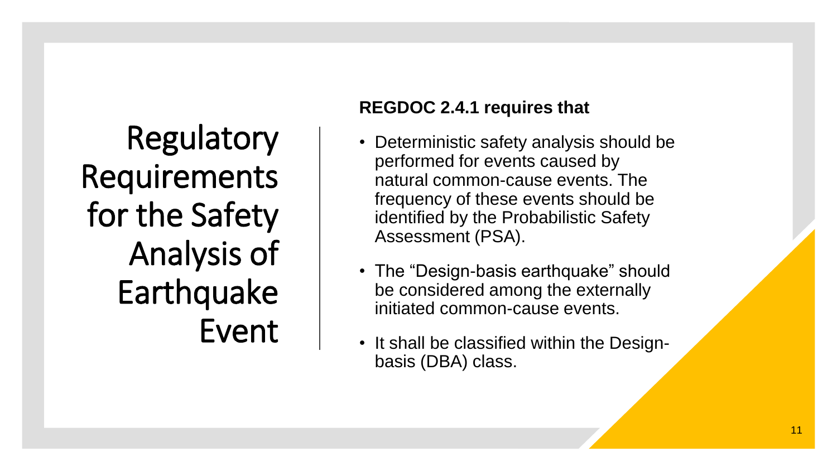Regulatory Requirements for the Safety Analysis of Earthquake Event

## **REGDOC 2.4.1 requires that**

- Deterministic safety analysis should be performed for events caused by natural common -cause events. The frequency of these events should be identified by the Probabilistic Safety Assessment (PSA).
- The "Design-basis earthquake" should be considered among the externally initiated common -cause events.
- It shall be classified within the Design basis (DBA) class .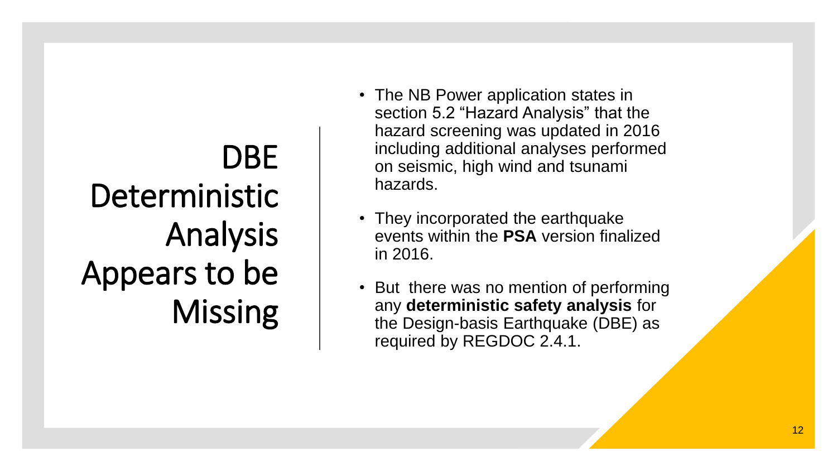# DBE Deterministic Analysis Appears to be Missing

- The NB Power application states in section 5.2 "Hazard Analysis" that the hazard screening was updated in 2016 including additional analyses performed on seismic, high wind and tsunami hazards.
- They incorporated the earthquake events within the **PSA** version finalized in 2016.
- But there was no mention of performing any **deterministic safety analysis** for the Design -basis Earthquake (DBE) as required by REGDOC 2.4.1.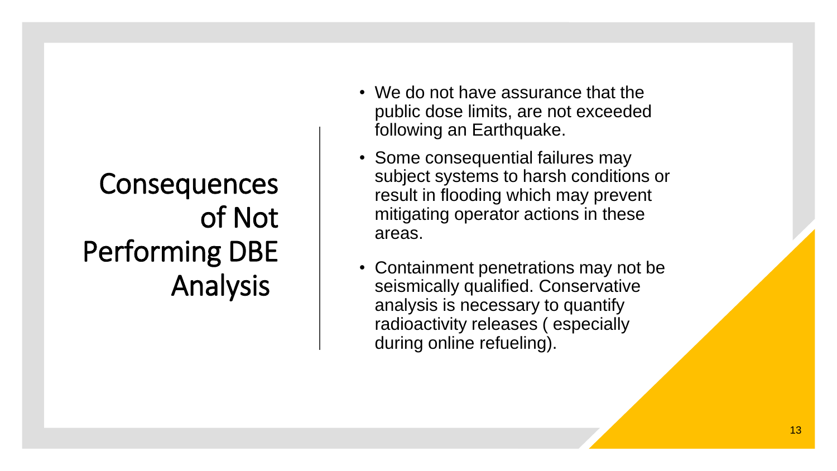## **Consequences** of Not Performing DBE Analysis

- We do not have assurance that the public dose limits, are not exceeded following an Earthquake.
- Some consequential failures may subject systems to harsh conditions or result in flooding which may prevent mitigating operator actions in these areas.
- Containment penetrations may not be seismically qualified. Conservative analysis is necessary to quantify radioactivity releases ( especially during online refueling).